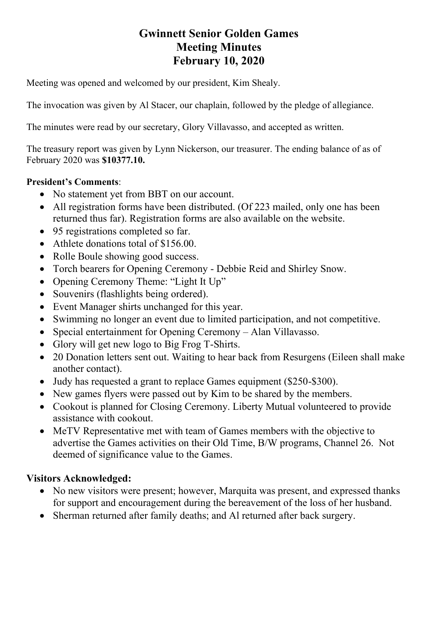# **Gwinnett Senior Golden Games Meeting Minutes February 10, 2020**

Meeting was opened and welcomed by our president, Kim Shealy.

The invocation was given by Al Stacer, our chaplain, followed by the pledge of allegiance.

The minutes were read by our secretary, Glory Villavasso, and accepted as written.

The treasury report was given by Lynn Nickerson, our treasurer. The ending balance of as of February 2020 was **\$10377.10.** 

#### **President's Comments**:

- No statement yet from BBT on our account.
- All registration forms have been distributed. (Of 223 mailed, only one has been returned thus far). Registration forms are also available on the website.
- 95 registrations completed so far.
- Athlete donations total of \$156.00.
- Rolle Boule showing good success.
- Torch bearers for Opening Ceremony Debbie Reid and Shirley Snow.
- Opening Ceremony Theme: "Light It Up"
- Souvenirs (flashlights being ordered).
- Event Manager shirts unchanged for this year.
- Swimming no longer an event due to limited participation, and not competitive.
- Special entertainment for Opening Ceremony Alan Villavasso.
- Glory will get new logo to Big Frog T-Shirts.
- 20 Donation letters sent out. Waiting to hear back from Resurgens (Eileen shall make another contact).
- Judy has requested a grant to replace Games equipment (\$250-\$300).
- New games flyers were passed out by Kim to be shared by the members.
- Cookout is planned for Closing Ceremony. Liberty Mutual volunteered to provide assistance with cookout.
- MeTV Representative met with team of Games members with the objective to advertise the Games activities on their Old Time, B/W programs, Channel 26. Not deemed of significance value to the Games.

## **Visitors Acknowledged:**

- No new visitors were present; however, Marquita was present, and expressed thanks for support and encouragement during the bereavement of the loss of her husband.
- Sherman returned after family deaths; and Al returned after back surgery.